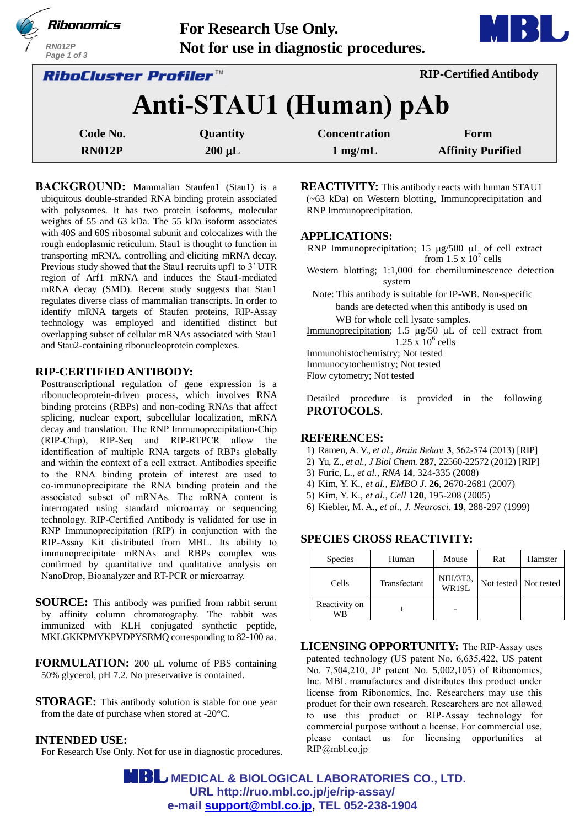| Ribonomics<br><b>RN012P</b><br>Page 1 of 3                           | <b>For Research Use Only.</b> | Not for use in diagnostic procedures. |                          |  |
|----------------------------------------------------------------------|-------------------------------|---------------------------------------|--------------------------|--|
| <b>RIP-Certified Antibody</b><br><i><b>RiboCluster Profiler™</b></i> |                               |                                       |                          |  |
| Anti-STAU1 (Human) pAb                                               |                               |                                       |                          |  |
| Code No.                                                             | Quantity                      | <b>Concentration</b>                  | Form                     |  |
| <b>RN012P</b>                                                        | $200 \mu L$                   | $1 \text{ mg/mL}$                     | <b>Affinity Purified</b> |  |

**BACKGROUND:** Mammalian Staufen1 (Stau1) is a ubiquitous double-stranded RNA binding protein associated with polysomes. It has two protein isoforms, molecular weights of 55 and 63 kDa. The 55 kDa isoform associates with 40S and 60S ribosomal subunit and colocalizes with the rough endoplasmic reticulum. Stau1 is thought to function in transporting mRNA, controlling and eliciting mRNA decay. Previous study showed that the Stau1 recruits upf1 to 3' UTR region of Arf1 mRNA and induces the Stau1-mediated mRNA decay (SMD). Recent study suggests that Stau1 regulates diverse class of mammalian transcripts. In order to identify mRNA targets of Staufen proteins, RIP-Assay technology was employed and identified distinct but overlapping subset of cellular mRNAs associated with Stau1 and Stau2-containing ribonucleoprotein complexes.

## **RIP-CERTIFIED ANTIBODY:**

Posttranscriptional regulation of gene expression is a ribonucleoprotein-driven process, which involves RNA binding proteins (RBPs) and non-coding RNAs that affect splicing, nuclear export, subcellular localization, mRNA decay and translation. The RNP Immunoprecipitation-Chip (RIP-Chip), RIP-Seq and RIP-RTPCR allow the identification of multiple RNA targets of RBPs globally and within the context of a cell extract. Antibodies specific to the RNA binding protein of interest are used to co-immunoprecipitate the RNA binding protein and the associated subset of mRNAs. The mRNA content is interrogated using standard microarray or sequencing technology. RIP-Certified Antibody is validated for use in RNP Immunoprecipitation (RIP) in conjunction with the RIP-Assay Kit distributed from MBL. Its ability to immunoprecipitate mRNAs and RBPs complex was confirmed by quantitative and qualitative analysis on NanoDrop, Bioanalyzer and RT-PCR or microarray.

**SOURCE:** This antibody was purified from rabbit serum by affinity column chromatography. The rabbit was immunized with KLH conjugated synthetic peptide, MKLGKKPMYKPVDPYSRMQ corresponding to 82-100 aa.

**FORMULATION:** 200 µL volume of PBS containing 50% glycerol, pH 7.2. No preservative is contained.

**STORAGE:** This antibody solution is stable for one year from the date of purchase when stored at -20°C.

## **INTENDED USE:**

For Research Use Only. Not for use in diagnostic procedures.

**REACTIVITY:** This antibody reacts with human STAU1 (~63 kDa) on Western blotting, Immunoprecipitation and RNP Immunoprecipitation.

## **APPLICATIONS:**

RNP Immunoprecipitation; 15  $\mu$ g/500  $\mu$ L of cell extract from  $1.5 \times 10^7$  cells

Western blotting; 1:1,000 for chemiluminescence detection system

Note: This antibody is suitable for IP-WB. Non-specific bands are detected when this antibody is used on WB for whole cell lysate samples.

Immunoprecipitation;  $1.5 \mu g/50 \mu L$  of cell extract from  $1.25 \times 10^6$  cells

Immunohistochemistry; Not tested

Immunocytochemistry; Not tested

Flow cytometry; Not tested

Detailed procedure is provided in the following **PROTOCOLS**.

### **REFERENCES:**

- 1) Ramen, A. V., *et al*., *Brain Behav.* **3**, 562-574 (2013) [RIP]
- 2) Yu, Z., *et al.[, J Biol Chem.](http://www.ncbi.nlm.nih.gov/pubmed/?term=22584570)* **287**, 22560-22572 (2012) [RIP]
- 3) Furic, L., *et al., RNA* **14**, 324-335 (2008)
- 4) Kim, Y. K., *et al., EMBO J*. **26**, 2670-2681 (2007)
- 5) Kim, Y. K., *et al., Cell* **120**, 195-208 (2005)
- 6) Kiebler, M. A., *et al., J. Neurosci*. **19**, 288-297 (1999)

# **SPECIES CROSS REACTIVITY:**

| <b>Species</b>      | Human        | Mouse                    | Rat | Hamster               |
|---------------------|--------------|--------------------------|-----|-----------------------|
| Cells               | Transfectant | NIH/3T3,<br><b>WR19L</b> |     | Not tested Not tested |
| Reactivity on<br>WB |              |                          |     |                       |

**LICENSING OPPORTUNITY:** The RIP-Assay uses patented technology (US patent No. 6,635,422, US patent No. 7,504,210, JP patent No. 5,002,105) of Ribonomics, Inc. MBL manufactures and distributes this product under license from Ribonomics, Inc. Researchers may use this product for their own research. Researchers are not allowed to use this product or RIP-Assay technology for commercial purpose without a license. For commercial use, please contact us for licensing opportunities at RIP@mbl.co.jp

 **MEDICAL & BIOLOGICAL LABORATORIES CO., LTD. URL [http://ruo.mbl.co.jp/je/rip-assay/](https://ruo.mbl.co.jp/) e-mail [support@mbl.co.jp,](mailto:support@mbl.co.jp) TEL 052-238-1904**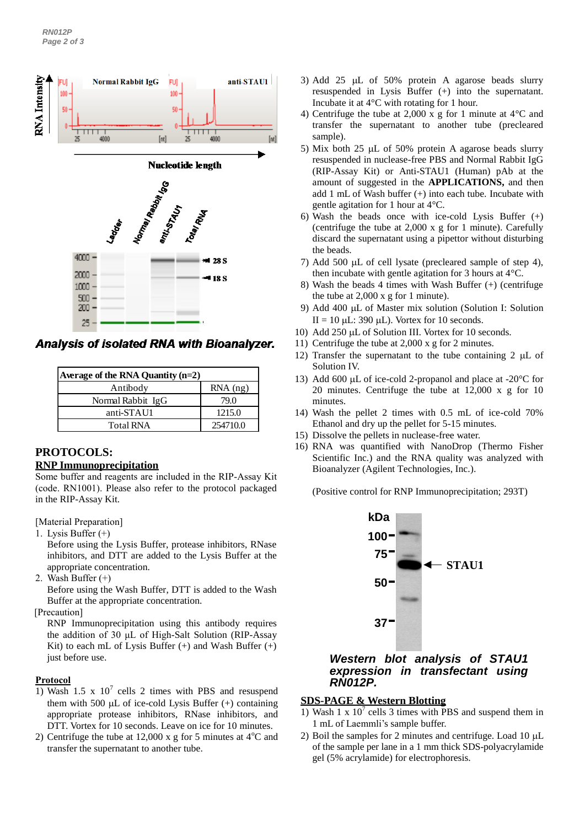

Analysis of isolated RNA with Bioanalyzer.

| Average of the RNA Quantity $(n=2)$ |            |  |
|-------------------------------------|------------|--|
| Antibody                            | $RNA$ (ng) |  |
| Normal Rabbit IgG                   | 79.0       |  |
| anti-STAU1                          | 1215.0     |  |
| <b>Total RNA</b>                    | 254710.0   |  |

## **PROTOCOLS:**

### **RNP Immunoprecipitation**

Some buffer and reagents are included in the RIP-Assay Kit (code. RN1001). Please also refer to the protocol packaged in the RIP-Assay Kit.

[Material Preparation]

- 1. Lysis Buffer (+)
	- Before using the Lysis Buffer, protease inhibitors, RNase inhibitors, and DTT are added to the Lysis Buffer at the appropriate concentration.
- 2. Wash Buffer (+)

Before using the Wash Buffer, DTT is added to the Wash Buffer at the appropriate concentration.

[Precaution]

RNP Immunoprecipitation using this antibody requires the addition of 30 μL of High-Salt Solution (RIP-Assay Kit) to each mL of Lysis Buffer  $(+)$  and Wash Buffer  $(+)$ just before use.

## **Protocol**

- 1) Wash 1.5 x  $10^7$  cells 2 times with PBS and resuspend them with 500  $\mu$ L of ice-cold Lysis Buffer (+) containing appropriate protease inhibitors, RNase inhibitors, and DTT. Vortex for 10 seconds. Leave on ice for 10 minutes.
- 2) Centrifuge the tube at 12,000 x g for 5 minutes at  $4^{\circ}$ C and transfer the supernatant to another tube.
- 3) Add 25  $\mu$ L of 50% protein A agarose beads slurry resuspended in Lysis Buffer (+) into the supernatant. Incubate it at 4°C with rotating for 1 hour.
- 4) Centrifuge the tube at 2,000 x g for 1 minute at 4°C and transfer the supernatant to another tube (precleared sample).
- 5) Mix both 25  $\mu$ L of 50% protein A agarose beads slurry resuspended in nuclease-free PBS and Normal Rabbit IgG (RIP-Assay Kit) or Anti-STAU1 (Human) pAb at the amount of suggested in the **APPLICATIONS,** and then add 1 mL of Wash buffer (+) into each tube. Incubate with gentle agitation for 1 hour at 4°C.
- 6) Wash the beads once with ice-cold Lysis Buffer (+) (centrifuge the tube at 2,000 x g for 1 minute). Carefully discard the supernatant using a pipettor without disturbing the beads.
- 7) Add 500  $\mu$ L of cell lysate (precleared sample of step 4), then incubate with gentle agitation for 3 hours at 4°C.
- 8) Wash the beads 4 times with Wash Buffer (+) (centrifuge the tube at 2,000 x g for 1 minute).
- 9) Add 400 µL of Master mix solution (Solution I: Solution II = 10  $\mu$ L: 390  $\mu$ L). Vortex for 10 seconds.
- 10) Add 250 µL of Solution III. Vortex for 10 seconds.
- 11) Centrifuge the tube at 2,000 x g for 2 minutes.
- 12) Transfer the supernatant to the tube containing 2  $\mu$ L of Solution IV.
- 13) Add 600  $\mu$ L of ice-cold 2-propanol and place at -20 $\degree$ C for 20 minutes. Centrifuge the tube at 12,000 x g for 10 minutes.
- 14) Wash the pellet 2 times with 0.5 mL of ice-cold 70% Ethanol and dry up the pellet for 5-15 minutes.
- 15) Dissolve the pellets in nuclease-free water.
- 16) RNA was quantified with NanoDrop (Thermo Fisher Scientific Inc.) and the RNA quality was analyzed with Bioanalyzer (Agilent Technologies, Inc.).

(Positive control for RNP Immunoprecipitation; 293T)



## *Western blot analysis of STAU1 expression in transfectant using RN012P.*

# **SDS-PAGE & Western Blotting**

- 1) Wash 1 x  $10^7$  cells 3 times with PBS and suspend them in 1 mL of Laemmli's sample buffer.
- 2) Boil the samples for 2 minutes and centrifuge. Load  $10 \mu L$ of the sample per lane in a 1 mm thick SDS-polyacrylamide gel (5% acrylamide) for electrophoresis.